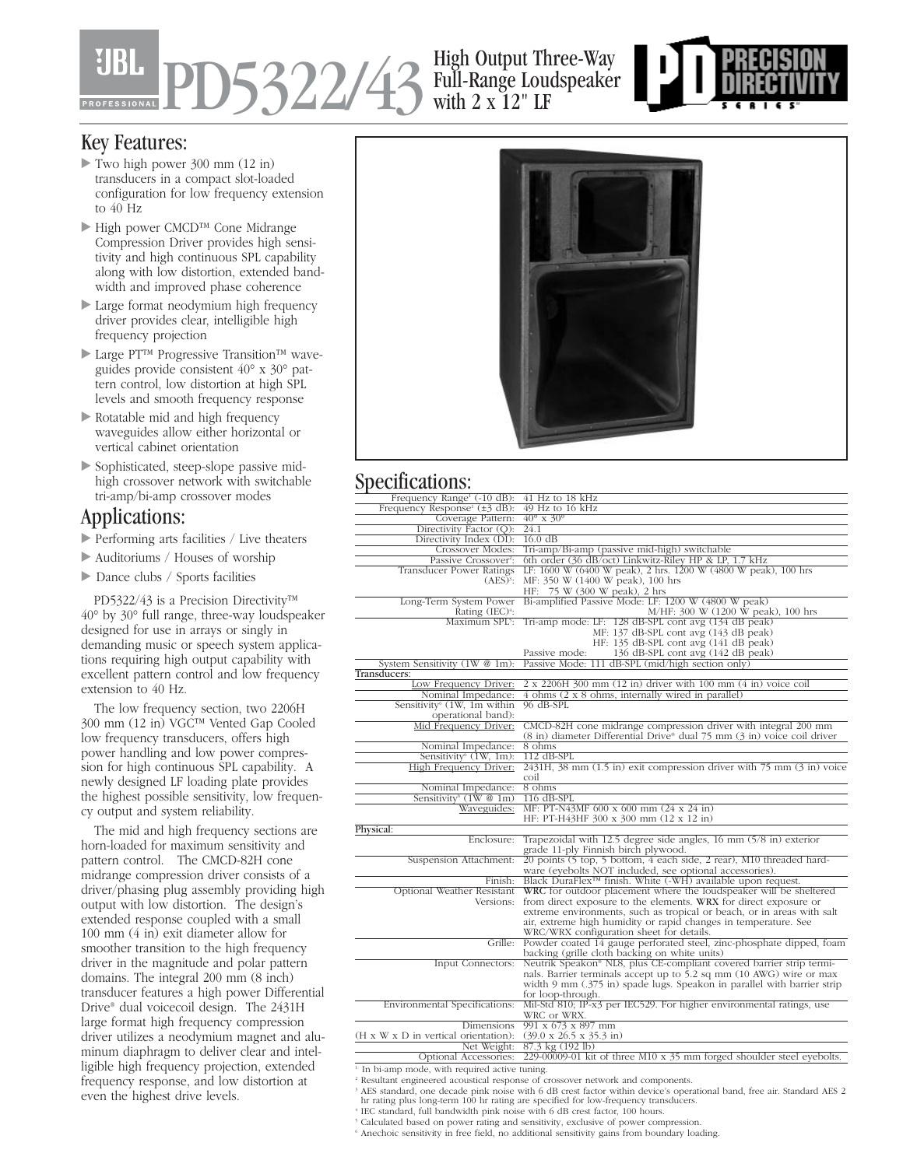# PD5322/43 High Output Three-Way

## Full-Range Loudspeaker with 2 x 12" LF



#### Key Features:

- Two high power 300 mm (12 in) transducers in a compact slot-loaded configuration for low frequency extension to 40 Hz
- High power CMCD™ Cone Midrange Compression Driver provides high sensitivity and high continuous SPL capability along with low distortion, extended bandwidth and improved phase coherence
- Large format neodymium high frequency driver provides clear, intelligible high frequency projection
- Large PT™ Progressive Transition™ waveguides provide consistent 40° x 30° pattern control, low distortion at high SPL levels and smooth frequency response
- Rotatable mid and high frequency waveguides allow either horizontal or vertical cabinet orientation
- Sophisticated, steep-slope passive midhigh crossover network with switchable tri-amp/bi-amp crossover modes

#### Applications:

- Performing arts facilities / Live theaters
- Auditoriums / Houses of worship
- Dance clubs / Sports facilities

PD5322/43 is a Precision Directivity™ 40° by 30° full range, three-way loudspeaker designed for use in arrays or singly in demanding music or speech system applications requiring high output capability with excellent pattern control and low frequency extension to 40 Hz.

The low frequency section, two 2206H 300 mm (12 in) VGC™ Vented Gap Cooled low frequency transducers, offers high power handling and low power compression for high continuous SPL capability. A newly designed LF loading plate provides the highest possible sensitivity, low frequency output and system reliability.

The mid and high frequency sections are horn-loaded for maximum sensitivity and pattern control. The CMCD-82H cone midrange compression driver consists of a driver/phasing plug assembly providing high output with low distortion. The design's extended response coupled with a small 100 mm (4 in) exit diameter allow for smoother transition to the high frequency driver in the magnitude and polar pattern domains. The integral 200 mm (8 inch) transducer features a high power Differential Drive® dual voicecoil design. The 2431H large format high frequency compression driver utilizes a neodymium magnet and aluminum diaphragm to deliver clear and intelligible high frequency projection, extended frequency response, and low distortion at even the highest drive levels.



#### Specifications:

| Frequency Range <sup>1</sup> (-10 dB):                    | $41$ Hz to $18$ kHz                                                                           |
|-----------------------------------------------------------|-----------------------------------------------------------------------------------------------|
| Frequency Response <sup>1</sup> ( $\pm$ 3 dB):            | $49$ Hz to $16$ kHz                                                                           |
| Coverage Pattern:                                         | $40^\circ \times 30^\circ$                                                                    |
| Directivity Factor (Q):                                   | 24.1                                                                                          |
| Directivity Index (DI):                                   | $16.0 \text{ dB}$                                                                             |
| Crossover Modes:                                          | Tri-amp/Bi-amp (passive mid-high) switchable                                                  |
| Passive Crossover <sup>2</sup> :                          | 6th order (36 dB/oct) Linkwitz-Riley HP & LP, 1.7 kHz                                         |
| Transducer Power Ratings                                  | LF: 1600 W (6400 W peak), 2 hrs. 1200 W (4800 W peak), 100 hrs                                |
| $(AES)^3$ :                                               | MF: 350 W (1400 W peak), 100 hrs                                                              |
|                                                           | HF: 75 W (300 W peak), 2 hrs                                                                  |
| Long-Term System Power                                    | Bi-amplified Passive Mode: LF: 1200 W (4800 W peak)                                           |
| Rating $(IEC)^4$ :                                        | M/HF: 300 W (1200 W peak), 100 hrs                                                            |
| Maximum SPL5:                                             | Tri-amp mode: LF: 128 dB-SPL cont avg (134 dB peak)                                           |
|                                                           | MF: 137 dB-SPL cont avg (143 dB peak)                                                         |
|                                                           | HF: 135 dB-SPL cont avg (141 dB peak)                                                         |
|                                                           | 136 dB-SPL cont avg (142 dB peak)<br>Passive mode:                                            |
| System Sensitivity (1W @ 1m):                             | Passive Mode: 111 dB-SPL (mid/high section only)                                              |
| Transducers:                                              |                                                                                               |
| Low Frequency Driver:                                     | 2 x 2206H 300 mm (12 in) driver with 100 mm (4 in) voice coil                                 |
| Nominal Impedance:                                        | 4 ohms (2 x 8 ohms, internally wired in parallel)                                             |
| Sensitivity <sup>6</sup> (1W, 1m within                   | $96$ dB-SPL                                                                                   |
| operational band):                                        |                                                                                               |
|                                                           |                                                                                               |
| Mid Frequency Driver:                                     | CMCD-82H cone midrange compression driver with integral 200 mm                                |
|                                                           | (8 in) diameter Differential Drive <sup>®</sup> dual 75 mm (3 in) voice coil driver<br>8 ohms |
| Nominal Impedance:                                        |                                                                                               |
| Sensitivity $(1W, 1m)$ :                                  | $112$ dB-SPL                                                                                  |
| High Frequency Driver:                                    | $2431H$ , 38 mm $(1.5 \text{ in})$ exit compression driver with 75 mm $(3 \text{ in})$ voice  |
|                                                           | coil                                                                                          |
| Nominal Impedance:                                        | 8 ohms                                                                                        |
| Sensitivity <sup>6</sup> (1W @ 1m)                        | $116$ dB-SPL                                                                                  |
| Waveguides:                                               | MF: PT-N43MF 600 x 600 mm (24 x 24 in)                                                        |
|                                                           | HF: PT-H43HF 300 x 300 mm (12 x 12 in)                                                        |
| Physical:                                                 |                                                                                               |
| Enclosure:                                                | Trapezoidal with 12.5 degree side angles, 16 mm (5/8 in) exterior                             |
|                                                           | grade 11-ply Finnish birch plywood.                                                           |
| Suspension Attachment:                                    | 20 points (5 top, 5 bottom, 4 each side, 2 rear), M10 threaded hard-                          |
|                                                           | ware (eyebolts NOT included, see optional accessories).                                       |
| Finish:                                                   | Black DuraFlex <sup>TM</sup> finish. White $(-WH)$ available upon request.                    |
| Optional Weather Resistant                                | WRC for outdoor placement where the loudspeaker will be sheltered                             |
| Versions:                                                 | from direct exposure to the elements. WRX for direct exposure or                              |
|                                                           | extreme environments, such as tropical or beach, or in areas with salt                        |
|                                                           | air, extreme high humidity or rapid changes in temperature. See                               |
|                                                           | WRC/WRX configuration sheet for details.                                                      |
| Grille:                                                   | Powder coated 14 gauge perforated steel, zinc-phosphate dipped, foam                          |
|                                                           | backing (grille cloth backing on white units)                                                 |
| Input Connectors:                                         | Neutrik Speakon® NL8, plus CE-compliant covered barrier strip termi-                          |
|                                                           | nals. Barrier terminals accept up to 5.2 sq mm (10 AWG) wire or max                           |
|                                                           | width 9 mm (.375 in) spade lugs. Speakon in parallel with barrier strip                       |
|                                                           | for loop-through.                                                                             |
| Environmental Specifications:                             | Mil-Std 810; IP-x3 per IEC529. For higher environmental ratings, use                          |
|                                                           | WRC or WRX.                                                                                   |
| Dimensions                                                | 991 x 673 x 897 mm                                                                            |
| (H x W x D in vertical orientation):                      | $(39.0 \times 26.5 \times 35.3 \text{ in})$                                                   |
| Net Weight:                                               | 87.3 kg (192 lb)                                                                              |
| Optional Accessories:                                     | 229-00009-01 kit of three M10 x $35$ mm forged shoulder steel eyebolts.                       |
| <sup>1</sup> In bi-amp mode, with required active tuning. |                                                                                               |
|                                                           | <sup>2</sup> Resultant engineered acquistical recreases of crossover network and components   |

<sup>2</sup> Resultant engineered acoustical response of crossover network and components.<br><sup>9</sup> AES standard, one decade pink noise with 6 dB crest factor within device's operational band, free air. Standard AES 2<br><sup>9</sup> hr rating plus

<sup>4</sup> IEC standard, full bandwidth pink noise with 6 dB crest factor, 100 hours.

<sup>5</sup> Calculated based on power rating and sensitivity, exclusive of power compression.

 $6$  Anechoic sensitivity in free field, no additional sensitivity gains from boundary loading.